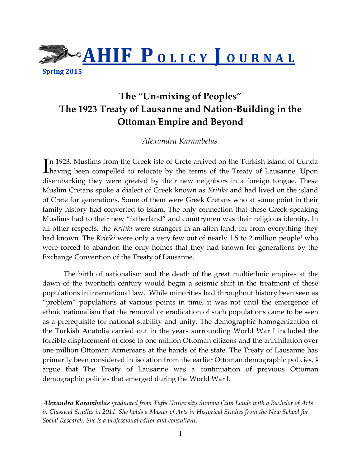

**Spring 2015** 

 $\overline{a}$ 

# **The "Un-mixing of Peoples" The 1923 Treaty of Lausanne and Nation-Building in the Ottoman Empire and Beyond**

## *Alexandra Karambelas*

n 1923, Muslims from the Greek isle of Crete arrived on the Turkish island of Cunda In 1923, Muslims from the Greek isle of Crete arrived on the Turkish island of Cunda<br>having been compelled to relocate by the terms of the Treaty of Lausanne. Upon disembarking they were greeted by their new neighbors in a foreign tongue. These Muslim Cretans spoke a dialect of Greek known as *Kritika* and had lived on the island of Crete for generations. Some of them were Greek Cretans who at some point in their family history had converted to Islam. The only connection that these Greek-speaking Muslims had to their new "fatherland" and countrymen was their religious identity. In all other respects, the *Kritiki* were strangers in an alien land, far from everything they had known. The *Kritiki* were only a very few out of nearly 1.5 to 2 million people<sup>1</sup> who were forced to abandon the only homes that they had known for generations by the Exchange Convention of the Treaty of Lausanne.

The birth of nationalism and the death of the great multiethnic empires at the dawn of the twentieth century would begin a seismic shift in the treatment of these populations in international law. While minorities had throughout history been seen as "problem" populations at various points in time, it was not until the emergence of ethnic nationalism that the removal or eradication of such populations came to be seen as a prerequisite for national stability and unity. The demographic homogenization of the Turkish Anatolia carried out in the years surrounding World War I included the forcible displacement of close to one million Ottoman citizens and the annihilation over one million Ottoman Armenians at the hands of the state. The Treaty of Lausanne has primarily been considered in isolation from the earlier Ottoman demographic policies. I argue that The Treaty of Lausanne was a continuation of previous Ottoman demographic policies that emerged during the World War I.

*Alexandra Karambelas graduated from Tufts University Summa Cum Laude with a Bachelor of Arts in Classical Studies in 2011. She holds a Master of Arts in Historical Studies from the New School for Social Research. She is a professional editor and consultant.*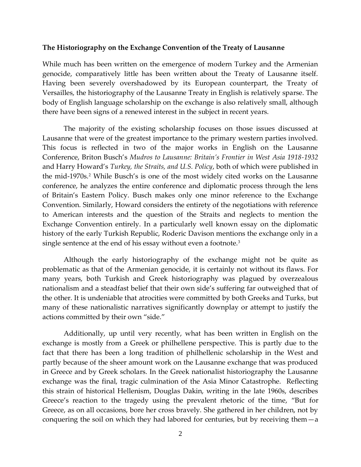## **The Historiography on the Exchange Convention of the Treaty of Lausanne**

While much has been written on the emergence of modern Turkey and the Armenian genocide, comparatively little has been written about the Treaty of Lausanne itself. Having been severely overshadowed by its European counterpart, the Treaty of Versailles, the historiography of the Lausanne Treaty in English is relatively sparse. The body of English language scholarship on the exchange is also relatively small, although there have been signs of a renewed interest in the subject in recent years.

The majority of the existing scholarship focuses on those issues discussed at Lausanne that were of the greatest importance to the primary western parties involved. This focus is reflected in two of the major works in English on the Lausanne Conference, Briton Busch's *Mudros to Lausanne: Britain's Frontier in West Asia 1918-1932* and Harry Howard's *Turkey, the Straits, and U.S. Policy*, both of which were published in the mid-1970s.<sup>2</sup> While Busch's is one of the most widely cited works on the Lausanne conference, he analyzes the entire conference and diplomatic process through the lens of Britain's Eastern Policy. Busch makes only one minor reference to the Exchange Convention. Similarly, Howard considers the entirety of the negotiations with reference to American interests and the question of the Straits and neglects to mention the Exchange Convention entirely. In a particularly well known essay on the diplomatic history of the early Turkish Republic, Roderic Davison mentions the exchange only in a single sentence at the end of his essay without even a footnote.<sup>3</sup>

Although the early historiography of the exchange might not be quite as problematic as that of the Armenian genocide, it is certainly not without its flaws. For many years, both Turkish and Greek historiography was plagued by overzealous nationalism and a steadfast belief that their own side's suffering far outweighed that of the other. It is undeniable that atrocities were committed by both Greeks and Turks, but many of these nationalistic narratives significantly downplay or attempt to justify the actions committed by their own "side."

Additionally, up until very recently, what has been written in English on the exchange is mostly from a Greek or philhellene perspective. This is partly due to the fact that there has been a long tradition of philhellenic scholarship in the West and partly because of the sheer amount work on the Lausanne exchange that was produced in Greece and by Greek scholars. In the Greek nationalist historiography the Lausanne exchange was the final, tragic culmination of the Asia Minor Catastrophe. Reflecting this strain of historical Hellenism, Douglas Dakin, writing in the late 1960s, describes Greece's reaction to the tragedy using the prevalent rhetoric of the time, "But for Greece, as on all occasions, bore her cross bravely. She gathered in her children, not by conquering the soil on which they had labored for centuries, but by receiving them—a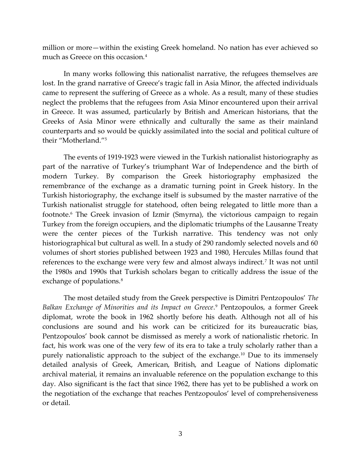million or more—within the existing Greek homeland. No nation has ever achieved so much as Greece on this occasion.<sup>4</sup>

In many works following this nationalist narrative, the refugees themselves are lost. In the grand narrative of Greece's tragic fall in Asia Minor, the affected individuals came to represent the suffering of Greece as a whole. As a result, many of these studies neglect the problems that the refugees from Asia Minor encountered upon their arrival in Greece. It was assumed, particularly by British and American historians, that the Greeks of Asia Minor were ethnically and culturally the same as their mainland counterparts and so would be quickly assimilated into the social and political culture of their "Motherland."<sup>5</sup>

The events of 1919-1923 were viewed in the Turkish nationalist historiography as part of the narrative of Turkey's triumphant War of Independence and the birth of modern Turkey. By comparison the Greek historiography emphasized the remembrance of the exchange as a dramatic turning point in Greek history. In the Turkish historiography, the exchange itself is subsumed by the master narrative of the Turkish nationalist struggle for statehood, often being relegated to little more than a footnote.<sup>6</sup> The Greek invasion of Izmir (Smyrna), the victorious campaign to regain Turkey from the foreign occupiers, and the diplomatic triumphs of the Lausanne Treaty were the center pieces of the Turkish narrative. This tendency was not only historiographical but cultural as well. In a study of 290 randomly selected novels and 60 volumes of short stories published between 1923 and 1980, Hercules Millas found that references to the exchange were very few and almost always indirect.<sup>7</sup> It was not until the 1980s and 1990s that Turkish scholars began to critically address the issue of the exchange of populations.<sup>8</sup>

The most detailed study from the Greek perspective is Dimitri Pentzopoulos' *The Balkan Exchange of Minorities and its Impact on Greece*. <sup>9</sup> Pentzopoulos, a former Greek diplomat, wrote the book in 1962 shortly before his death. Although not all of his conclusions are sound and his work can be criticized for its bureaucratic bias, Pentzopoulos' book cannot be dismissed as merely a work of nationalistic rhetoric. In fact, his work was one of the very few of its era to take a truly scholarly rather than a purely nationalistic approach to the subject of the exchange.<sup>10</sup> Due to its immensely detailed analysis of Greek, American, British, and League of Nations diplomatic archival material, it remains an invaluable reference on the population exchange to this day. Also significant is the fact that since 1962, there has yet to be published a work on the negotiation of the exchange that reaches Pentzopoulos' level of comprehensiveness or detail.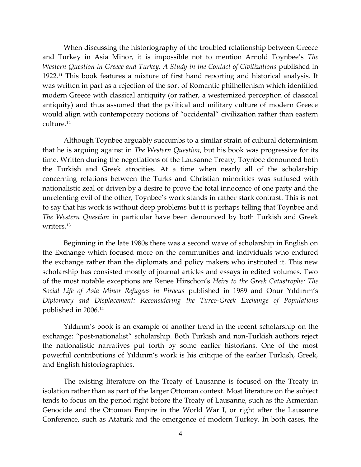When discussing the historiography of the troubled relationship between Greece and Turkey in Asia Minor, it is impossible not to mention Arnold Toynbee's *The Western Question in Greece and Turkey: A Study in the Contact of Civilizations* published in 1922.<sup>11</sup> This book features a mixture of first hand reporting and historical analysis. It was written in part as a rejection of the sort of Romantic philhellenism which identified modern Greece with classical antiquity (or rather, a westernized perception of classical antiquity) and thus assumed that the political and military culture of modern Greece would align with contemporary notions of "occidental" civilization rather than eastern culture.<sup>12</sup>

Although Toynbee arguably succumbs to a similar strain of cultural determinism that he is arguing against in *The Western Question*, but his book was progressive for its time. Written during the negotiations of the Lausanne Treaty, Toynbee denounced both the Turkish and Greek atrocities. At a time when nearly all of the scholarship concerning relations between the Turks and Christian minorities was suffused with nationalistic zeal or driven by a desire to prove the total innocence of one party and the unrelenting evil of the other, Toynbee's work stands in rather stark contrast. This is not to say that his work is without deep problems but it is perhaps telling that Toynbee and *The Western Question* in particular have been denounced by both Turkish and Greek writers<sup>13</sup>

Beginning in the late 1980s there was a second wave of scholarship in English on the Exchange which focused more on the communities and individuals who endured the exchange rather than the diplomats and policy makers who instituted it. This new scholarship has consisted mostly of journal articles and essays in edited volumes. Two of the most notable exceptions are Renee Hirschon's *Heirs to the Greek Catastrophe: The Social Life of Asia Minor Refugees in Piraeus* published in 1989 and Onur Yıldırım's *Diplomacy and Displacement: Reconsidering the Turco-Greek Exchange of Populations* published in 2006.<sup>14</sup>

Yıldırım's book is an example of another trend in the recent scholarship on the exchange: "post-nationalist" scholarship. Both Turkish and non-Turkish authors reject the nationalistic narratives put forth by some earlier historians. One of the most powerful contributions of Yıldırım's work is his critique of the earlier Turkish, Greek, and English historiographies.

The existing literature on the Treaty of Lausanne is focused on the Treaty in isolation rather than as part of the larger Ottoman context. Most literature on the subject tends to focus on the period right before the Treaty of Lausanne, such as the Armenian Genocide and the Ottoman Empire in the World War I, or right after the Lausanne Conference, such as Ataturk and the emergence of modern Turkey. In both cases, the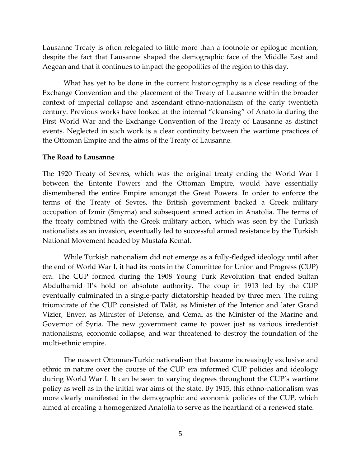Lausanne Treaty is often relegated to little more than a footnote or epilogue mention, despite the fact that Lausanne shaped the demographic face of the Middle East and Aegean and that it continues to impact the geopolitics of the region to this day.

What has yet to be done in the current historiography is a close reading of the Exchange Convention and the placement of the Treaty of Lausanne within the broader context of imperial collapse and ascendant ethno-nationalism of the early twentieth century. Previous works have looked at the internal "cleansing" of Anatolia during the First World War and the Exchange Convention of the Treaty of Lausanne as distinct events. Neglected in such work is a clear continuity between the wartime practices of the Ottoman Empire and the aims of the Treaty of Lausanne.

#### **The Road to Lausanne**

The 1920 Treaty of Sevres, which was the original treaty ending the World War I between the Entente Powers and the Ottoman Empire, would have essentially dismembered the entire Empire amongst the Great Powers. In order to enforce the terms of the Treaty of Sevres, the British government backed a Greek military occupation of Izmir (Smyrna) and subsequent armed action in Anatolia. The terms of the treaty combined with the Greek military action, which was seen by the Turkish nationalists as an invasion, eventually led to successful armed resistance by the Turkish National Movement headed by Mustafa Kemal.

While Turkish nationalism did not emerge as a fully-fledged ideology until after the end of World War I, it had its roots in the Committee for Union and Progress (CUP) era. The CUP formed during the 1908 Young Turk Revolution that ended Sultan Abdulhamid II's hold on absolute authority. The coup in 1913 led by the CUP eventually culminated in a single-party dictatorship headed by three men. The ruling triumvirate of the CUP consisted of Talât, as Minister of the Interior and later Grand Vizier, Enver, as Minister of Defense, and Cemal as the Minister of the Marine and Governor of Syria. The new government came to power just as various irredentist nationalisms, economic collapse, and war threatened to destroy the foundation of the multi-ethnic empire.

The nascent Ottoman-Turkic nationalism that became increasingly exclusive and ethnic in nature over the course of the CUP era informed CUP policies and ideology during World War I. It can be seen to varying degrees throughout the CUP's wartime policy as well as in the initial war aims of the state. By 1915, this ethno-nationalism was more clearly manifested in the demographic and economic policies of the CUP, which aimed at creating a homogenized Anatolia to serve as the heartland of a renewed state.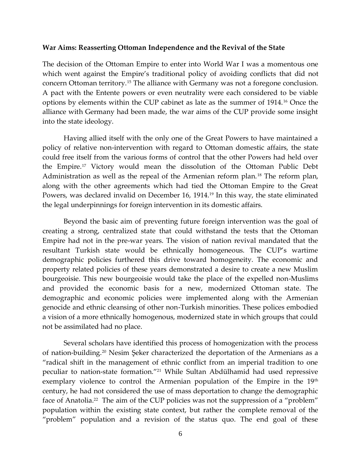### **War Aims: Reasserting Ottoman Independence and the Revival of the State**

The decision of the Ottoman Empire to enter into World War I was a momentous one which went against the Empire's traditional policy of avoiding conflicts that did not concern Ottoman territory.<sup>15</sup> The alliance with Germany was not a foregone conclusion. A pact with the Entente powers or even neutrality were each considered to be viable options by elements within the CUP cabinet as late as the summer of 1914.<sup>16</sup> Once the alliance with Germany had been made, the war aims of the CUP provide some insight into the state ideology.

Having allied itself with the only one of the Great Powers to have maintained a policy of relative non-intervention with regard to Ottoman domestic affairs, the state could free itself from the various forms of control that the other Powers had held over the Empire.<sup>17</sup> Victory would mean the dissolution of the Ottoman Public Debt Administration as well as the repeal of the Armenian reform plan.<sup>18</sup> The reform plan, along with the other agreements which had tied the Ottoman Empire to the Great Powers, was declared invalid on December 16, 1914.<sup>19</sup> In this way, the state eliminated the legal underpinnings for foreign intervention in its domestic affairs.

Beyond the basic aim of preventing future foreign intervention was the goal of creating a strong, centralized state that could withstand the tests that the Ottoman Empire had not in the pre-war years. The vision of nation revival mandated that the resultant Turkish state would be ethnically homogeneous. The CUP's wartime demographic policies furthered this drive toward homogeneity. The economic and property related policies of these years demonstrated a desire to create a new Muslim bourgeoisie. This new bourgeoisie would take the place of the expelled non-Muslims and provided the economic basis for a new, modernized Ottoman state. The demographic and economic policies were implemented along with the Armenian genocide and ethnic cleansing of other non-Turkish minorities. These polices embodied a vision of a more ethnically homogenous, modernized state in which groups that could not be assimilated had no place.

Several scholars have identified this process of homogenization with the process of nation-building. <sup>20</sup> Nesim Şeker characterized the deportation of the Armenians as a "radical shift in the management of ethnic conflict from an imperial tradition to one peculiar to nation-state formation."<sup>21</sup> While Sultan Abdülhamid had used repressive exemplary violence to control the Armenian population of the Empire in the 19<sup>th</sup> century, he had not considered the use of mass deportation to change the demographic face of Anatolia.<sup>22</sup> The aim of the CUP policies was not the suppression of a "problem" population within the existing state context, but rather the complete removal of the "problem" population and a revision of the status quo. The end goal of these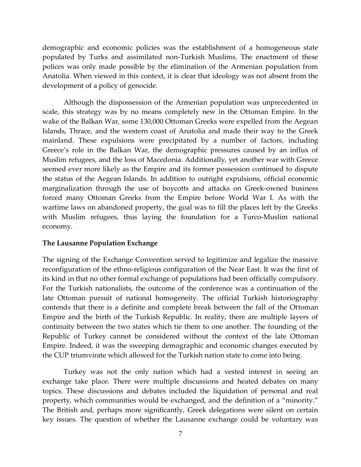demographic and economic policies was the establishment of a homogeneous state populated by Turks and assimilated non-Turkish Muslims. The enactment of these polices was only made possible by the elimination of the Armenian population from Anatolia. When viewed in this context, it is clear that ideology was not absent from the development of a policy of genocide.

Although the dispossession of the Armenian population was unprecedented in scale, this strategy was by no means completely new in the Ottoman Empire. In the wake of the Balkan War, some 130,000 Ottoman Greeks were expelled from the Aegean Islands, Thrace, and the western coast of Anatolia and made their way to the Greek mainland. These expulsions were precipitated by a number of factors, including Greece's role in the Balkan War, the demographic pressures caused by an influx of Muslim refugees, and the loss of Macedonia. Additionally, yet another war with Greece seemed ever more likely as the Empire and its former possession continued to dispute the status of the Aegean Islands. In addition to outright expulsions, official economic marginalization through the use of boycotts and attacks on Greek-owned business forced many Ottoman Greeks from the Empire before World War I. As with the wartime laws on abandoned property, the goal was to fill the places left by the Greeks with Muslim refugees, thus laying the foundation for a Turco-Muslim national economy.

## **The Lausanne Population Exchange**

The signing of the Exchange Convention served to legitimize and legalize the massive reconfiguration of the ethno-religious configuration of the Near East. It was the first of its kind in that no other formal exchange of populations had been officially compulsory. For the Turkish nationalists, the outcome of the conference was a continuation of the late Ottoman pursuit of national homogeneity. The official Turkish historiography contends that there is a definite and complete break between the fall of the Ottoman Empire and the birth of the Turkish Republic. In reality, there are multiple layers of continuity between the two states which tie them to one another. The founding of the Republic of Turkey cannot be considered without the context of the late Ottoman Empire. Indeed, it was the sweeping demographic and economic changes executed by the CUP triumvirate which allowed for the Turkish nation state to come into being.

Turkey was not the only nation which had a vested interest in seeing an exchange take place. There were multiple discussions and heated debates on many topics. These discussions and debates included the liquidation of personal and real property, which communities would be exchanged, and the definition of a "minority." The British and, perhaps more significantly, Greek delegations were silent on certain key issues. The question of whether the Lausanne exchange could be voluntary was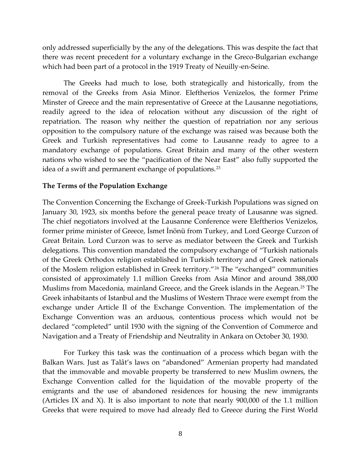only addressed superficially by the any of the delegations. This was despite the fact that there was recent precedent for a voluntary exchange in the Greco-Bulgarian exchange which had been part of a protocol in the 1919 Treaty of Neuilly-en-Seine.

The Greeks had much to lose, both strategically and historically, from the removal of the Greeks from Asia Minor. Eleftherios Venizelos, the former Prime Minster of Greece and the main representative of Greece at the Lausanne negotiations, readily agreed to the idea of relocation without any discussion of the right of repatriation. The reason why neither the question of repatriation nor any serious opposition to the compulsory nature of the exchange was raised was because both the Greek and Turkish representatives had come to Lausanne ready to agree to a mandatory exchange of populations. Great Britain and many of the other western nations who wished to see the "pacification of the Near East" also fully supported the idea of a swift and permanent exchange of populations.<sup>23</sup>

### **The Terms of the Population Exchange**

The Convention Concerning the Exchange of Greek-Turkish Populations was signed on January 30, 1923, six months before the general peace treaty of Lausanne was signed. The chief negotiators involved at the Lausanne Conference were Eleftherios Venizelos, former prime minister of Greece, İsmet İnönü from Turkey, and Lord George Curzon of Great Britain. Lord Curzon was to serve as mediator between the Greek and Turkish delegations. This convention mandated the compulsory exchange of "Turkish nationals of the Greek Orthodox religion established in Turkish territory and of Greek nationals of the Moslem religion established in Greek territory."<sup>24</sup> The "exchanged" communities consisted of approximately 1.1 million Greeks from Asia Minor and around 388,000 Muslims from Macedonia, mainland Greece, and the Greek islands in the Aegean.<sup>25</sup> The Greek inhabitants of Istanbul and the Muslims of Western Thrace were exempt from the exchange under Article II of the Exchange Convention. The implementation of the Exchange Convention was an arduous, contentious process which would not be declared "completed" until 1930 with the signing of the Convention of Commerce and Navigation and a Treaty of Friendship and Neutrality in Ankara on October 30, 1930.

For Turkey this task was the continuation of a process which began with the Balkan Wars. Just as Talât's laws on "abandoned" Armenian property had mandated that the immovable and movable property be transferred to new Muslim owners, the Exchange Convention called for the liquidation of the movable property of the emigrants and the use of abandoned residences for housing the new immigrants (Articles IX and X). It is also important to note that nearly 900,000 of the 1.1 million Greeks that were required to move had already fled to Greece during the First World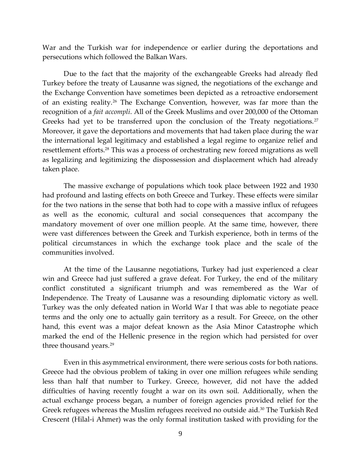War and the Turkish war for independence or earlier during the deportations and persecutions which followed the Balkan Wars.

Due to the fact that the majority of the exchangeable Greeks had already fled Turkey before the treaty of Lausanne was signed, the negotiations of the exchange and the Exchange Convention have sometimes been depicted as a retroactive endorsement of an existing reality.<sup>26</sup> The Exchange Convention, however, was far more than the recognition of a *fait accompli*. All of the Greek Muslims and over 200,000 of the Ottoman Greeks had yet to be transferred upon the conclusion of the Treaty negotiations.<sup>27</sup> Moreover, it gave the deportations and movements that had taken place during the war the international legal legitimacy and established a legal regime to organize relief and resettlement efforts.<sup>28</sup> This was a process of orchestrating new forced migrations as well as legalizing and legitimizing the dispossession and displacement which had already taken place.

The massive exchange of populations which took place between 1922 and 1930 had profound and lasting effects on both Greece and Turkey. These effects were similar for the two nations in the sense that both had to cope with a massive influx of refugees as well as the economic, cultural and social consequences that accompany the mandatory movement of over one million people. At the same time, however, there were vast differences between the Greek and Turkish experience, both in terms of the political circumstances in which the exchange took place and the scale of the communities involved.

At the time of the Lausanne negotiations, Turkey had just experienced a clear win and Greece had just suffered a grave defeat. For Turkey, the end of the military conflict constituted a significant triumph and was remembered as the War of Independence. The Treaty of Lausanne was a resounding diplomatic victory as well. Turkey was the only defeated nation in World War I that was able to negotiate peace terms and the only one to actually gain territory as a result. For Greece, on the other hand, this event was a major defeat known as the Asia Minor Catastrophe which marked the end of the Hellenic presence in the region which had persisted for over three thousand years.<sup>29</sup>

Even in this asymmetrical environment, there were serious costs for both nations. Greece had the obvious problem of taking in over one million refugees while sending less than half that number to Turkey. Greece, however, did not have the added difficulties of having recently fought a war on its own soil. Additionally, when the actual exchange process began, a number of foreign agencies provided relief for the Greek refugees whereas the Muslim refugees received no outside aid.<sup>30</sup> The Turkish Red Crescent (Hilal-i Ahmer) was the only formal institution tasked with providing for the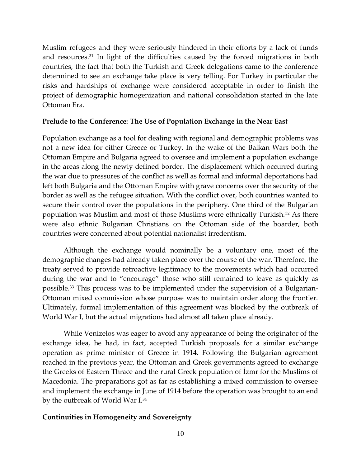Muslim refugees and they were seriously hindered in their efforts by a lack of funds and resources.<sup>31</sup> In light of the difficulties caused by the forced migrations in both countries, the fact that both the Turkish and Greek delegations came to the conference determined to see an exchange take place is very telling. For Turkey in particular the risks and hardships of exchange were considered acceptable in order to finish the project of demographic homogenization and national consolidation started in the late Ottoman Era.

## **Prelude to the Conference: The Use of Population Exchange in the Near East**

Population exchange as a tool for dealing with regional and demographic problems was not a new idea for either Greece or Turkey. In the wake of the Balkan Wars both the Ottoman Empire and Bulgaria agreed to oversee and implement a population exchange in the areas along the newly defined border. The displacement which occurred during the war due to pressures of the conflict as well as formal and informal deportations had left both Bulgaria and the Ottoman Empire with grave concerns over the security of the border as well as the refugee situation. With the conflict over, both countries wanted to secure their control over the populations in the periphery. One third of the Bulgarian population was Muslim and most of those Muslims were ethnically Turkish. <sup>32</sup> As there were also ethnic Bulgarian Christians on the Ottoman side of the boarder, both countries were concerned about potential nationalist irredentism.

Although the exchange would nominally be a voluntary one, most of the demographic changes had already taken place over the course of the war. Therefore, the treaty served to provide retroactive legitimacy to the movements which had occurred during the war and to "encourage" those who still remained to leave as quickly as possible.<sup>33</sup> This process was to be implemented under the supervision of a Bulgarian-Ottoman mixed commission whose purpose was to maintain order along the frontier. Ultimately, formal implementation of this agreement was blocked by the outbreak of World War I, but the actual migrations had almost all taken place already.

While Venizelos was eager to avoid any appearance of being the originator of the exchange idea, he had, in fact, accepted Turkish proposals for a similar exchange operation as prime minister of Greece in 1914. Following the Bulgarian agreement reached in the previous year, the Ottoman and Greek governments agreed to exchange the Greeks of Eastern Thrace and the rural Greek population of İzmr for the Muslims of Macedonia. The preparations got as far as establishing a mixed commission to oversee and implement the exchange in June of 1914 before the operation was brought to an end by the outbreak of World War I.<sup>34</sup>

## **Continuities in Homogeneity and Sovereignty**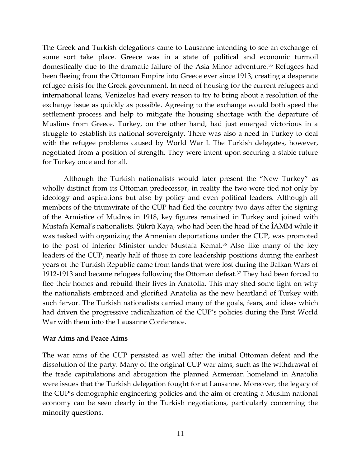The Greek and Turkish delegations came to Lausanne intending to see an exchange of some sort take place. Greece was in a state of political and economic turmoil domestically due to the dramatic failure of the Asia Minor adventure.<sup>35</sup> Refugees had been fleeing from the Ottoman Empire into Greece ever since 1913, creating a desperate refugee crisis for the Greek government. In need of housing for the current refugees and international loans, Venizelos had every reason to try to bring about a resolution of the exchange issue as quickly as possible. Agreeing to the exchange would both speed the settlement process and help to mitigate the housing shortage with the departure of Muslims from Greece. Turkey, on the other hand, had just emerged victorious in a struggle to establish its national sovereignty. There was also a need in Turkey to deal with the refugee problems caused by World War I. The Turkish delegates, however, negotiated from a position of strength. They were intent upon securing a stable future for Turkey once and for all.

Although the Turkish nationalists would later present the "New Turkey" as wholly distinct from its Ottoman predecessor, in reality the two were tied not only by ideology and aspirations but also by policy and even political leaders. Although all members of the triumvirate of the CUP had fled the country two days after the signing of the Armistice of Mudros in 1918, key figures remained in Turkey and joined with Mustafa Kemal's nationalists. Şükrü Kaya, who had been the head of the İAMM while it was tasked with organizing the Armenian deportations under the CUP, was promoted to the post of Interior Minister under Mustafa Kemal.<sup>36</sup> Also like many of the key leaders of the CUP, nearly half of those in core leadership positions during the earliest years of the Turkish Republic came from lands that were lost during the Balkan Wars of 1912-1913 and became refugees following the Ottoman defeat.<sup>37</sup> They had been forced to flee their homes and rebuild their lives in Anatolia. This may shed some light on why the nationalists embraced and glorified Anatolia as the new heartland of Turkey with such fervor. The Turkish nationalists carried many of the goals, fears, and ideas which had driven the progressive radicalization of the CUP's policies during the First World War with them into the Lausanne Conference.

## **War Aims and Peace Aims**

The war aims of the CUP persisted as well after the initial Ottoman defeat and the dissolution of the party. Many of the original CUP war aims, such as the withdrawal of the trade capitulations and abrogation the planned Armenian homeland in Anatolia were issues that the Turkish delegation fought for at Lausanne. Moreover, the legacy of the CUP's demographic engineering policies and the aim of creating a Muslim national economy can be seen clearly in the Turkish negotiations, particularly concerning the minority questions.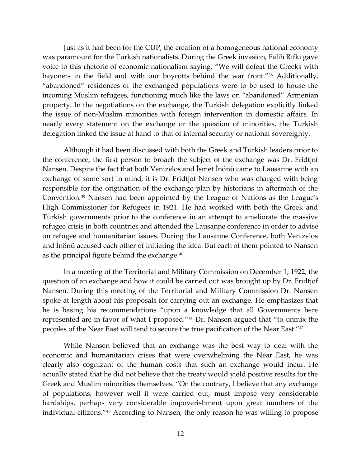Just as it had been for the CUP, the creation of a homogeneous national economy was paramount for the Turkish nationalists. During the Greek invasion, Falih Rıfkı gave voice to this rhetoric of economic nationalism saying, "We will defeat the Greeks with bayonets in the field and with our boycotts behind the war front."<sup>38</sup> Additionally, "abandoned" residences of the exchanged populations were to be used to house the incoming Muslim refugees, functioning much like the laws on "abandoned" Armenian property. In the negotiations on the exchange, the Turkish delegation explicitly linked the issue of non-Muslim minorities with foreign intervention in domestic affairs. In nearly every statement on the exchange or the question of minorities, the Turkish delegation linked the issue at hand to that of internal security or national sovereignty.

Although it had been discussed with both the Greek and Turkish leaders prior to the conference, the first person to broach the subject of the exchange was Dr. Fridtjof Nansen. Despite the fact that both Venizelos and İsmet İnönü came to Lausanne with an exchange of some sort in mind, it is Dr. Fridtjof Nansen who was charged with being responsible for the origination of the exchange plan by historians in aftermath of the Convention.<sup>39</sup> Nansen had been appointed by the League of Nations as the League's High Commissioner for Refugees in 1921. He had worked with both the Greek and Turkish governments prior to the conference in an attempt to ameliorate the massive refugee crisis in both countries and attended the Lausanne conference in order to advise on refugee and humanitarian issues. During the Lausanne Conference, both Venizelos and İnönü accused each other of initiating the idea. But each of them pointed to Nansen as the principal figure behind the exchange.<sup>40</sup>

In a meeting of the Territorial and Military Commission on December 1, 1922, the question of an exchange and how it could be carried out was brought up by Dr. Fridtjof Nansen. During this meeting of the Territorial and Military Commission Dr. Nansen spoke at length about his proposals for carrying out an exchange. He emphasizes that he is basing his recommendations "upon a knowledge that all Governments here represented are in favor of what I proposed."<sup>41</sup> Dr. Nansen argued that "to unmix the peoples of the Near East will tend to secure the true pacification of the Near East."<sup>42</sup>

While Nansen believed that an exchange was the best way to deal with the economic and humanitarian crises that were overwhelming the Near East, he was clearly also cognizant of the human costs that such an exchange would incur. He actually stated that he did not believe that the treaty would yield positive results for the Greek and Muslim minorities themselves. "On the contrary, I believe that any exchange of populations, however well it were carried out, must impose very considerable hardships, perhaps very considerable impoverishment upon great numbers of the individual citizens."<sup>43</sup> According to Nansen, the only reason he was willing to propose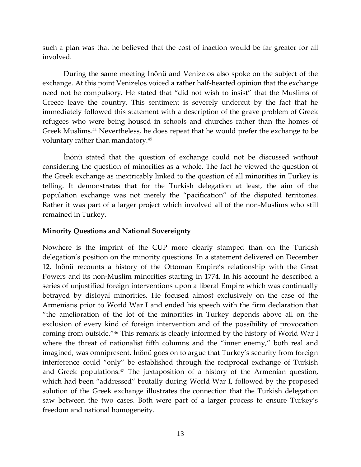such a plan was that he believed that the cost of inaction would be far greater for all involved.

During the same meeting İnönü and Venizelos also spoke on the subject of the exchange. At this point Venizelos voiced a rather half-hearted opinion that the exchange need not be compulsory. He stated that "did not wish to insist" that the Muslims of Greece leave the country. This sentiment is severely undercut by the fact that he immediately followed this statement with a description of the grave problem of Greek refugees who were being housed in schools and churches rather than the homes of Greek Muslims.<sup>44</sup> Nevertheless, he does repeat that he would prefer the exchange to be voluntary rather than mandatory.<sup>45</sup>

İnönü stated that the question of exchange could not be discussed without considering the question of minorities as a whole. The fact he viewed the question of the Greek exchange as inextricably linked to the question of all minorities in Turkey is telling. It demonstrates that for the Turkish delegation at least, the aim of the population exchange was not merely the "pacification" of the disputed territories. Rather it was part of a larger project which involved all of the non-Muslims who still remained in Turkey.

## **Minority Questions and National Sovereignty**

Nowhere is the imprint of the CUP more clearly stamped than on the Turkish delegation's position on the minority questions. In a statement delivered on December 12, İnönü recounts a history of the Ottoman Empire's relationship with the Great Powers and its non-Muslim minorities starting in 1774. In his account he described a series of unjustified foreign interventions upon a liberal Empire which was continually betrayed by disloyal minorities. He focused almost exclusively on the case of the Armenians prior to World War I and ended his speech with the firm declaration that "the amelioration of the lot of the minorities in Turkey depends above all on the exclusion of every kind of foreign intervention and of the possibility of provocation coming from outside."<sup>46</sup> This remark is clearly informed by the history of World War I where the threat of nationalist fifth columns and the "inner enemy," both real and imagined, was omnipresent. İnönü goes on to argue that Turkey's security from foreign interference could "only" be established through the reciprocal exchange of Turkish and Greek populations.<sup>47</sup> The juxtaposition of a history of the Armenian question, which had been "addressed" brutally during World War I, followed by the proposed solution of the Greek exchange illustrates the connection that the Turkish delegation saw between the two cases. Both were part of a larger process to ensure Turkey's freedom and national homogeneity.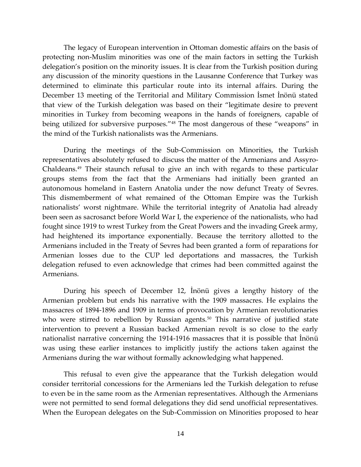The legacy of European intervention in Ottoman domestic affairs on the basis of protecting non-Muslim minorities was one of the main factors in setting the Turkish delegation's position on the minority issues. It is clear from the Turkish position during any discussion of the minority questions in the Lausanne Conference that Turkey was determined to eliminate this particular route into its internal affairs. During the December 13 meeting of the Territorial and Military Commission İsmet İnönü stated that view of the Turkish delegation was based on their "legitimate desire to prevent minorities in Turkey from becoming weapons in the hands of foreigners, capable of being utilized for subversive purposes."<sup>48</sup> The most dangerous of these "weapons" in the mind of the Turkish nationalists was the Armenians.

During the meetings of the Sub-Commission on Minorities, the Turkish representatives absolutely refused to discuss the matter of the Armenians and Assyro-Chaldeans.<sup>49</sup> Their staunch refusal to give an inch with regards to these particular groups stems from the fact that the Armenians had initially been granted an autonomous homeland in Eastern Anatolia under the now defunct Treaty of Sevres. This dismemberment of what remained of the Ottoman Empire was the Turkish nationalists' worst nightmare. While the territorial integrity of Anatolia had already been seen as sacrosanct before World War I, the experience of the nationalists, who had fought since 1919 to wrest Turkey from the Great Powers and the invading Greek army, had heightened its importance exponentially. Because the territory allotted to the Armenians included in the Treaty of Sevres had been granted a form of reparations for Armenian losses due to the CUP led deportations and massacres, the Turkish delegation refused to even acknowledge that crimes had been committed against the Armenians.

During his speech of December 12, İnönü gives a lengthy history of the Armenian problem but ends his narrative with the 1909 massacres. He explains the massacres of 1894-1896 and 1909 in terms of provocation by Armenian revolutionaries who were stirred to rebellion by Russian agents.<sup>50</sup> This narrative of justified state intervention to prevent a Russian backed Armenian revolt is so close to the early nationalist narrative concerning the 1914-1916 massacres that it is possible that İnönü was using these earlier instances to implicitly justify the actions taken against the Armenians during the war without formally acknowledging what happened.

This refusal to even give the appearance that the Turkish delegation would consider territorial concessions for the Armenians led the Turkish delegation to refuse to even be in the same room as the Armenian representatives. Although the Armenians were not permitted to send formal delegations they did send unofficial representatives. When the European delegates on the Sub-Commission on Minorities proposed to hear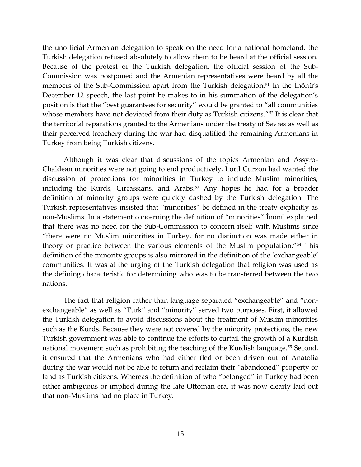the unofficial Armenian delegation to speak on the need for a national homeland, the Turkish delegation refused absolutely to allow them to be heard at the official session. Because of the protest of the Turkish delegation, the official session of the Sub-Commission was postponed and the Armenian representatives were heard by all the members of the Sub-Commission apart from the Turkish delegation.<sup>51</sup> In the Inönü's December 12 speech, the last point he makes to in his summation of the delegation's position is that the "best guarantees for security" would be granted to "all communities whose members have not deviated from their duty as Turkish citizens."<sup>52</sup> It is clear that the territorial reparations granted to the Armenians under the treaty of Sevres as well as their perceived treachery during the war had disqualified the remaining Armenians in Turkey from being Turkish citizens.

Although it was clear that discussions of the topics Armenian and Assyro-Chaldean minorities were not going to end productively, Lord Curzon had wanted the discussion of protections for minorities in Turkey to include Muslim minorities, including the Kurds, Circassians, and Arabs.<sup>53</sup> Any hopes he had for a broader definition of minority groups were quickly dashed by the Turkish delegation. The Turkish representatives insisted that "minorities" be defined in the treaty explicitly as non-Muslims. In a statement concerning the definition of "minorities" İnönü explained that there was no need for the Sub-Commission to concern itself with Muslims since "there were no Muslim minorities in Turkey, for no distinction was made either in theory or practice between the various elements of the Muslim population."<sup>54</sup> This definition of the minority groups is also mirrored in the definition of the 'exchangeable' communities. It was at the urging of the Turkish delegation that religion was used as the defining characteristic for determining who was to be transferred between the two nations.

The fact that religion rather than language separated "exchangeable" and "nonexchangeable" as well as "Turk" and "minority" served two purposes. First, it allowed the Turkish delegation to avoid discussions about the treatment of Muslim minorities such as the Kurds. Because they were not covered by the minority protections, the new Turkish government was able to continue the efforts to curtail the growth of a Kurdish national movement such as prohibiting the teaching of the Kurdish language.<sup>55</sup> Second, it ensured that the Armenians who had either fled or been driven out of Anatolia during the war would not be able to return and reclaim their "abandoned" property or land as Turkish citizens. Whereas the definition of who "belonged" in Turkey had been either ambiguous or implied during the late Ottoman era, it was now clearly laid out that non-Muslims had no place in Turkey.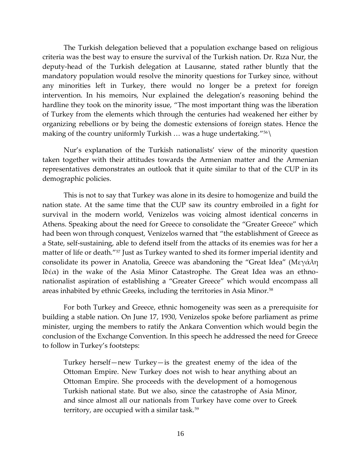The Turkish delegation believed that a population exchange based on religious criteria was the best way to ensure the survival of the Turkish nation. Dr. Rıza Nur, the deputy-head of the Turkish delegation at Lausanne, stated rather bluntly that the mandatory population would resolve the minority questions for Turkey since, without any minorities left in Turkey, there would no longer be a pretext for foreign intervention. In his memoirs, Nur explained the delegation's reasoning behind the hardline they took on the minority issue, "The most important thing was the liberation of Turkey from the elements which through the centuries had weakened her either by organizing rebellions or by being the domestic extensions of foreign states. Hence the making of the country uniformly Turkish ... was a huge undertaking." $^{56}\backslash$ 

Nur's explanation of the Turkish nationalists' view of the minority question taken together with their attitudes towards the Armenian matter and the Armenian representatives demonstrates an outlook that it quite similar to that of the CUP in its demographic policies.

This is not to say that Turkey was alone in its desire to homogenize and build the nation state. At the same time that the CUP saw its country embroiled in a fight for survival in the modern world, Venizelos was voicing almost identical concerns in Athens. Speaking about the need for Greece to consolidate the "Greater Greece" which had been won through conquest, Venizelos warned that "the establishment of Greece as a State, self-sustaining, able to defend itself from the attacks of its enemies was for her a matter of life or death."<sup>57</sup> Just as Turkey wanted to shed its former imperial identity and consolidate its power in Anatolia, Greece was abandoning the "Great Idea" (Μεγάλη Ιδέα) in the wake of the Asia Minor Catastrophe. The Great Idea was an ethnonationalist aspiration of establishing a "Greater Greece" which would encompass all areas inhabited by ethnic Greeks, including the territories in Asia Minor.<sup>58</sup>

For both Turkey and Greece, ethnic homogeneity was seen as a prerequisite for building a stable nation. On June 17, 1930, Venizelos spoke before parliament as prime minister, urging the members to ratify the Ankara Convention which would begin the conclusion of the Exchange Convention. In this speech he addressed the need for Greece to follow in Turkey's footsteps:

Turkey herself—new Turkey—is the greatest enemy of the idea of the Ottoman Empire. New Turkey does not wish to hear anything about an Ottoman Empire. She proceeds with the development of a homogenous Turkish national state. But we also, since the catastrophe of Asia Minor, and since almost all our nationals from Turkey have come over to Greek territory, are occupied with a similar task.59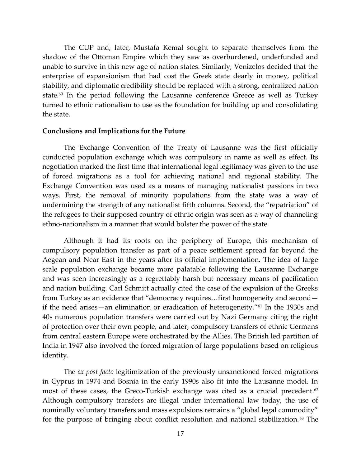The CUP and, later, Mustafa Kemal sought to separate themselves from the shadow of the Ottoman Empire which they saw as overburdened, underfunded and unable to survive in this new age of nation states. Similarly, Venizelos decided that the enterprise of expansionism that had cost the Greek state dearly in money, political stability, and diplomatic credibility should be replaced with a strong, centralized nation state.<sup>60</sup> In the period following the Lausanne conference Greece as well as Turkey turned to ethnic nationalism to use as the foundation for building up and consolidating the state.

#### **Conclusions and Implications for the Future**

The Exchange Convention of the Treaty of Lausanne was the first officially conducted population exchange which was compulsory in name as well as effect. Its negotiation marked the first time that international legal legitimacy was given to the use of forced migrations as a tool for achieving national and regional stability. The Exchange Convention was used as a means of managing nationalist passions in two ways. First, the removal of minority populations from the state was a way of undermining the strength of any nationalist fifth columns. Second, the "repatriation" of the refugees to their supposed country of ethnic origin was seen as a way of channeling ethno-nationalism in a manner that would bolster the power of the state.

Although it had its roots on the periphery of Europe, this mechanism of compulsory population transfer as part of a peace settlement spread far beyond the Aegean and Near East in the years after its official implementation. The idea of large scale population exchange became more palatable following the Lausanne Exchange and was seen increasingly as a regrettably harsh but necessary means of pacification and nation building. Carl Schmitt actually cited the case of the expulsion of the Greeks from Turkey as an evidence that "democracy requires…first homogeneity and second if the need arises—an elimination or eradication of heterogeneity."<sup>61</sup> In the 1930s and 40s numerous population transfers were carried out by Nazi Germany citing the right of protection over their own people, and later, compulsory transfers of ethnic Germans from central eastern Europe were orchestrated by the Allies. The British led partition of India in 1947 also involved the forced migration of large populations based on religious identity.

The *ex post facto* legitimization of the previously unsanctioned forced migrations in Cyprus in 1974 and Bosnia in the early 1990s also fit into the Lausanne model. In most of these cases, the Greco-Turkish exchange was cited as a crucial precedent.<sup>62</sup> Although compulsory transfers are illegal under international law today, the use of nominally voluntary transfers and mass expulsions remains a "global legal commodity" for the purpose of bringing about conflict resolution and national stabilization.<sup>63</sup> The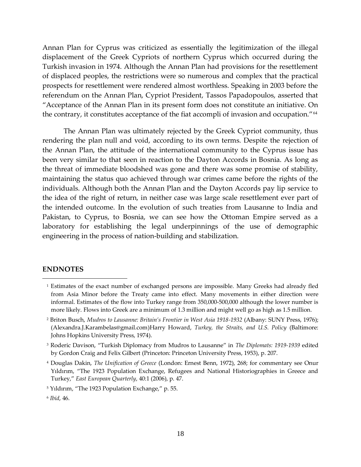Annan Plan for Cyprus was criticized as essentially the legitimization of the illegal displacement of the Greek Cypriots of northern Cyprus which occurred during the Turkish invasion in 1974. Although the Annan Plan had provisions for the resettlement of displaced peoples, the restrictions were so numerous and complex that the practical prospects for resettlement were rendered almost worthless. Speaking in 2003 before the referendum on the Annan Plan, Cypriot President, Tassos Papadopoulos, asserted that "Acceptance of the Annan Plan in its present form does not constitute an initiative. On the contrary, it constitutes acceptance of the fiat accompli of invasion and occupation."<sup>64</sup>

The Annan Plan was ultimately rejected by the Greek Cypriot community, thus rendering the plan null and void, according to its own terms. Despite the rejection of the Annan Plan, the attitude of the international community to the Cyprus issue has been very similar to that seen in reaction to the Dayton Accords in Bosnia. As long as the threat of immediate bloodshed was gone and there was some promise of stability, maintaining the status quo achieved through war crimes came before the rights of the individuals. Although both the Annan Plan and the Dayton Accords pay lip service to the idea of the right of return, in neither case was large scale resettlement ever part of the intended outcome. In the evolution of such treaties from Lausanne to India and Pakistan, to Cyprus, to Bosnia, we can see how the Ottoman Empire served as a laboratory for establishing the legal underpinnings of the use of demographic engineering in the process of nation-building and stabilization.

#### **ENDNOTES**

 $\overline{a}$ 

<sup>1</sup> Estimates of the exact number of exchanged persons are impossible. Many Greeks had already fled from Asia Minor before the Treaty came into effect. Many movements in either direction were informal. Estimates of the flow into Turkey range from 350,000-500,000 although the lower number is more likely. Flows into Greek are a minimum of 1.3 million and might well go as high as 1.5 million.

<sup>2</sup> Briton Busch, *Mudros to Lausanne: Britain's Frontier in West Asia 1918-1932* (Albany: SUNY Press, 1976); (Alexandra.J.Karambelas@gmail.com)Harry Howard, *Turkey, the Straits, and U.S. Policy* (Baltimore: Johns Hopkins University Press, 1974).

<sup>3</sup> Roderic Davison, "Turkish Diplomacy from Mudros to Lausanne" in *The Diplomats: 1919-1939* edited by Gordon Craig and Felix Gilbert (Princeton: Princeton University Press, 1953), p. 207.

<sup>4</sup> Douglas Dakin, *The Unification of Greece* (London: Ernest Benn, 1972), 268; for commentary see Onur Yıldırım, "The 1923 Population Exchange, Refugees and National Historiographies in Greece and Turkey," *East European Quarterly*, 40:1 (2006), p. 47.

<sup>&</sup>lt;sup>5</sup> Yıldırım, "The 1923 Population Exchange," p. 55.

<sup>6</sup> *Ibid*, 46.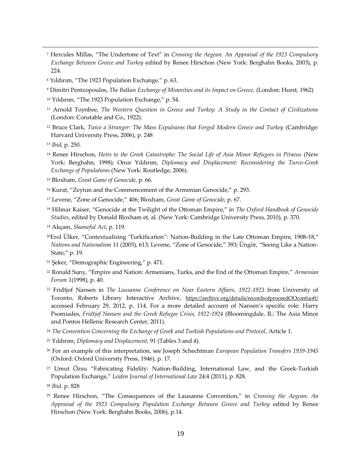- <sup>7</sup> Hercules Millas, "The Undertone of Text" in *Crossing the Aegean: An Appraisal of the 1923 Compulsory Exchange Between Greece and Turkey* edited by Renee Hirschon (New York: Berghahn Books, 2003), p. 224.
- <sup>8</sup> Yıldırım, "The 1923 Population Exchange," p. 63.
- <sup>9</sup> Dimitri Pentzopoulos, *The Balkan Exchange of Minorities and its Impact on Greece,* (London: Hurst, 1962)
- <sup>10</sup> Yıldırım, "The 1923 Population Exchange," p. 54.
- <sup>11</sup> Arnold Toynbee, *The Western Question in Greece and Turkey: A Study in the Contact of Civilizations* (London: Constable and Co., 1922).
- <sup>12</sup> Bruce Clark, *Twice a Stranger: The Mass Expulsions that Forged Modern Greece and Turkey* (Cambridge: Harvard University Press, 2006), p. 248
- <sup>13</sup> *Ibid*, p. 250.

 $\overline{a}$ 

- <sup>14</sup> Renee Hirschon, *Heirs to the Greek Catastrophe: The Social Life of Asia Minor Refugees in Piraeus* (New York: Berghahn, 1998); Onur Yıldırım, *Diplomacy and Displacement: Reconsidering the Turco-Greek Exchange of Populations* (New York: Routledge, 2006).
- <sup>15</sup> Bloxham, *Great Game of Genocide*, p. 66.
- <sup>16</sup> Kurat, "Zeytun and the Commencement of the Armenian Genocide," p. 293.
- <sup>17</sup> Levene, "Zone of Genocide," 406; Bloxham, *Great Game of Genocide*, p. 67.
- <sup>18</sup> Hilmar Kaiser, "Genocide at the Twilight of the Ottoman Empire," in *The Oxford Handbook of Genocide Studies*, edited by Donald Bloxham et, al. (New York: Cambridge University Press, 2010), p. 370.
- <sup>19</sup> Akçam, *Shameful Act*, p. 119.
- <sup>20</sup>Erol Ülker, "Contextualising 'Turkification": Nation-Building in the Late Ottoman Empire, 1908-18," *Nations and Nationalism* 11 (2005), 613; Levene, "Zone of Genocide," 393; Üngör, "Seeing Like a Nation-State," p. 19.
- <sup>21</sup> Şeker, "Demographic Engineering," p. 471.
- <sup>22</sup> Ronald Suny, "Empire and Nation: Armenians, Turks, and the End of the Ottoman Empire," *Armenian Forum* 1(1998), p. 40.
- <sup>23</sup> Fridtjof Nansen in *The Lausanne Conference on Near Eastern Affairs, 1922-1923* from University of Toronto, Roberts Library Interactive Archive, <https://archive.org/details/recordsofproceedOOconfuoft/> accessed February 29, 2012, p. 114. For a more detailed account of Nansen's specific role: Harry Psomiades, *Fridtjof Nansen and the Greek Refugee Crisis, 1922-1924* (Bloomingdale, IL: The Asia Minor and Pontos Hellenic Research Center, 2011).
- <sup>24</sup> *The Convention Concerning the Exchange of Greek and Turkish Populations and Protocol*, Article 1.
- <sup>25</sup> Yıldırım, *Diplomacy and Displacement*, 91 (Tables 3 and 4).
- <sup>26</sup> For an example of this interpretation, see Joseph Schechtman *European Population Transfers 1939-1945* (Oxford: Oxford University Press, 1946), p. 17.
- <sup>27</sup> Umut Özsu "Fabricating Fidelity: Nation-Building, International Law, and the Greek-Turkish Population Exchange," *Leiden Journal of International Law* 24:4 (2011), p. 828.
- <sup>28</sup> *Ibid*. p. 828
- <sup>29</sup> Renee Hirschon, "The Consequences of the Lausanne Convention," in *Crossing the Aegean: An Appraisal of the 1923 Compulsory Population Exchange Between Greece and Turkey* edited by Renee Hirschon (New York: Berghahn Books, 2006), p.14.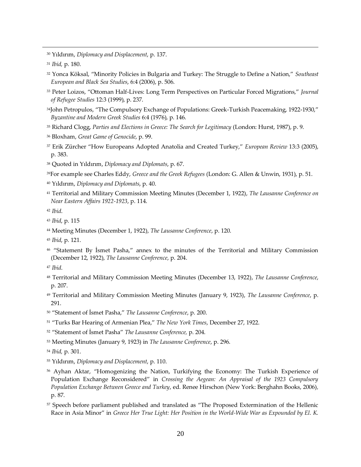Yıldırım, *Diplomacy and Displacement*, p. 137.

 $\overline{a}$ 

- Yonca Köksal, "Minority Policies in Bulgaria and Turkey: The Struggle to Define a Nation," *Southeast European and Black Sea Studies*, 6:4 (2006), p. 506.
- Peter Loizos, "Ottoman Half-Lives: Long Term Perspectives on Particular Forced Migrations," *Journal of Refugee Studies* 12:3 (1999), p. 237.
- John Petropulos, "The Compulsory Exchange of Populations: Greek-Turkish Peacemaking, 1922-1930," *Byzantine and Modern Greek Studies* 6:4 (1976), p. 146.
- Richard Clogg, *Parties and Elections in Greece: The Search for Legitimacy* (London: Hurst, 1987), p. 9.
- Bloxham, *Great Game of Genocide*, p. 99.
- Erik Zürcher "How Europeans Adopted Anatolia and Created Turkey," *European Review* 13:3 (2005), p. 383.
- Quoted in Yıldırım, *Diplomacy and Diplomats*, p. 67.
- For example see Charles Eddy, *Greece and the Greek Refugees* (London: G. Allen & Unwin, 1931), p. 51.
- Yıldırım, *Diplomacy and Diplomats*, p. 40.
- Territorial and Military Commission Meeting Minutes (December 1, 1922), *The Lausanne Conference on Near Eastern Affairs 1922-1923*, p. 114.

- *Ibid*, p. 115
- Meeting Minutes (December 1, 1922), *The Lausanne Conference*, p. 120.
- *Ibid*, p. 121.
- "Statement By İsmet Pasha," annex to the minutes of the Territorial and Military Commission (December 12, 1922), *The Lausanne Conference*, p. 204.
- *Ibid*.
- Territorial and Military Commission Meeting Minutes (December 13, 1922), *The Lausanne Conference*, p. 207.
- Territorial and Military Commission Meeting Minutes (January 9, 1923), *The Lausanne Conference*, p. 291.
- "Statement of İsmet Pasha," *The Lausanne Conference*, p. 200.
- "Turks Bar Hearing of Armenian Plea," *The New York Times*, December 27, 1922.
- "Statement of İsmet Pasha" *The Lausanne Conference,* p. 204.
- Meeting Minutes (January 9, 1923) in *The Lausanne Conference*, p. 296.

*Ibid,* p. 301.

- Yıldırım, *Diplomacy and Displacement*, p. 110.
- <sup>56</sup> Ayhan Aktar, "Homogenizing the Nation, Turkifying the Economy: The Turkish Experience of Population Exchange Reconsidered" in *Crossing the Aegean: An Appraisal of the 1923 Compulsory Population Exchange Between Greece and Turkey*, ed. Renee Hirschon (New York: Berghahn Books, 2006)*,* p. 87.
- <sup>57</sup> Speech before parliament published and translated as "The Proposed Extermination of the Hellenic Race in Asia Minor" in *Greece Her True Light: Her Position in the World-Wide War as Expounded by El. K.*

*Ibid,* p. 180.

*Ibid*.